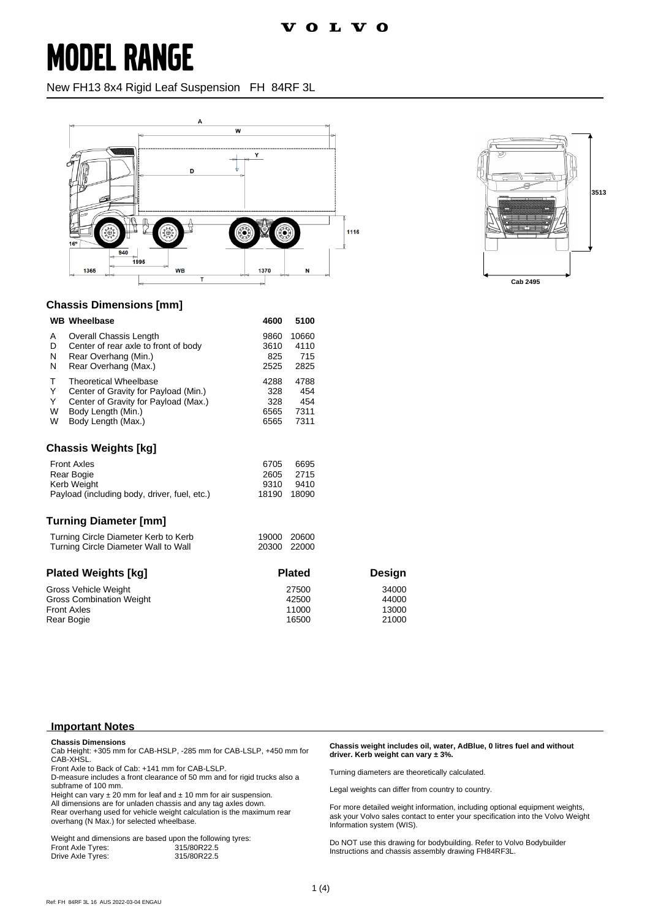New FH13 8x4 Rigid Leaf Suspension FH 84RF 3L





#### **Chassis Dimensions [mm]**

|                      | <b>WB</b> Wheelbase                          | 4600  | 5100  |
|----------------------|----------------------------------------------|-------|-------|
| A                    | Overall Chassis Length                       | 9860  | 10660 |
| D                    | Center of rear axle to front of body         | 3610  | 4110  |
| N                    | Rear Overhang (Min.)                         | 825   | 715   |
| N                    | Rear Overhang (Max.)                         | 2525  | 2825  |
| т                    | <b>Theoretical Wheelbase</b>                 | 4288  | 4788  |
| Υ                    | Center of Gravity for Payload (Min.)         | 328   | 454   |
| Y                    | Center of Gravity for Payload (Max.)         | 328   | 454   |
| W                    | Body Length (Min.)                           | 6565  | 7311  |
| W                    | Body Length (Max.)                           | 6565  | 7311  |
| Chassis Weights [kq] |                                              |       |       |
|                      | <b>Front Axles</b>                           | 6705  | 6695  |
| Rear Bogie           |                                              | 2605  | 2715  |
| <b>Kerb Weight</b>   |                                              | 9310  | 9410  |
|                      | Payload (including body, driver, fuel, etc.) | 18190 | 18090 |

#### **Turning Diameter [mm]**

| Turning Circle Diameter Kerb to Kerb | 19000 20600 |  |
|--------------------------------------|-------------|--|
|                                      |             |  |
| Turning Circle Diameter Wall to Wall | 20300 22000 |  |

| <b>Plated Weights [kg]</b>      | <b>Plated</b> | Design |
|---------------------------------|---------------|--------|
| Gross Vehicle Weight            | 27500         | 34000  |
| <b>Gross Combination Weight</b> | 42500         | 44000  |
| <b>Front Axles</b>              | 11000         | 13000  |
| Rear Bogie                      | 16500         | 21000  |

#### **Important Notes**

#### **Chassis Dimensions**

Cab Height: +305 mm for CAB-HSLP, -285 mm for CAB-LSLP, +450 mm for CAB-XHSL.

Front Axle to Back of Cab: +141 mm for CAB-LSLP.

D-measure includes a front clearance of 50 mm and for rigid trucks also a subframe of 100 mm.

Height can vary  $\pm 20$  mm for leaf and  $\pm 10$  mm for air suspension.

All dimensions are for unladen chassis and any tag axles down. Rear overhang used for vehicle weight calculation is the maximum rear overhang (N Max.) for selected wheelbase.

Weight and dimensions are based upon the following tyres:<br>Front Axle Tyres: 315/80R22.5 Drive Axle Tyres:

**Chassis weight includes oil, water, AdBlue, 0 litres fuel and without driver. Kerb weight can vary ± 3%.**

Turning diameters are theoretically calculated.

Legal weights can differ from country to country.

For more detailed weight information, including optional equipment weights, ask your Volvo sales contact to enter your specification into the Volvo Weight Information system (WIS).

Do NOT use this drawing for bodybuilding. Refer to Volvo Bodybuilder Instructions and chassis assembly drawing FH84RF3L.<br>315/80R22.5 **From Axle Tyres: 315/80R22.5**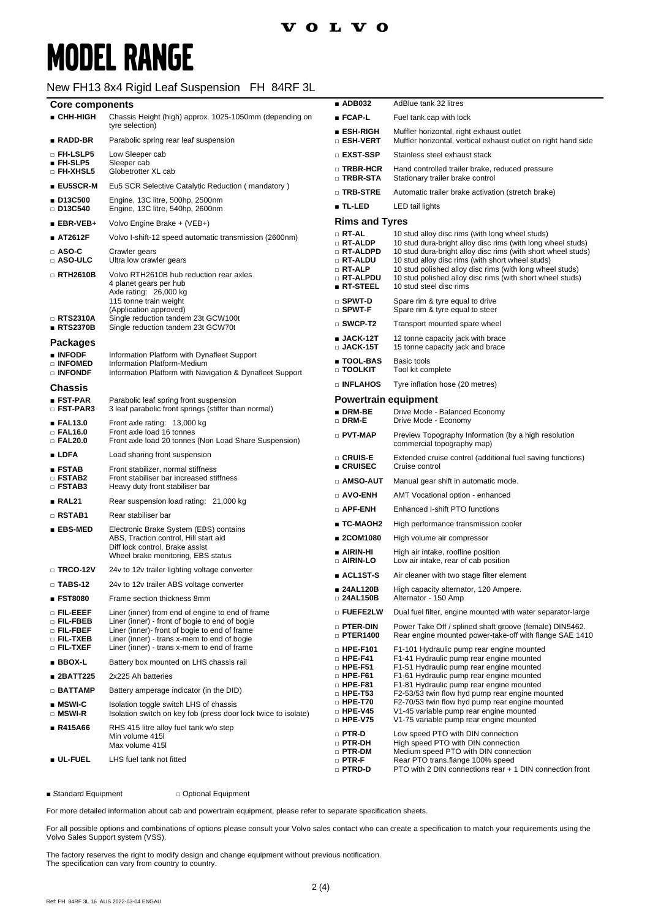#### New FH13 8x4 Rigid Leaf Suspension FH 84RF 3L

| <b>Core components</b>                         |                                                                                                                                                | $\blacksquare$ ADB032                              | AdBlue tank 32 litres                                                                                                                                                           |  |
|------------------------------------------------|------------------------------------------------------------------------------------------------------------------------------------------------|----------------------------------------------------|---------------------------------------------------------------------------------------------------------------------------------------------------------------------------------|--|
| ■ CHH-HIGH                                     | Chassis Height (high) approx. 1025-1050mm (depending on<br>tyre selection)                                                                     | ■ FCAP-L                                           | Fuel tank cap with lock                                                                                                                                                         |  |
| $RADD-BR$                                      | Parabolic spring rear leaf suspension                                                                                                          | ∎ ESH-RIGH<br>□ ESH-VERT                           | Muffler horizontal, right exhaust outlet<br>Muffler horizontal, vertical exhaust outlet on right hand side                                                                      |  |
| □ FH-LSLP5                                     | Low Sleeper cab                                                                                                                                | □ EXST-SSP                                         | Stainless steel exhaust stack                                                                                                                                                   |  |
| $FH-SLP5$<br>$\square$ FH-XHSL5                | Sleeper cab<br>Globetrotter XL cab                                                                                                             | □ TRBR-HCR<br>□ TRBR-STA                           | Hand controlled trailer brake, reduced pressure<br>Stationary trailer brake control                                                                                             |  |
| ■ EU5SCR-M                                     | Eu5 SCR Selective Catalytic Reduction (mandatory)                                                                                              | □ TRB-STRE                                         | Automatic trailer brake activation (stretch brake)                                                                                                                              |  |
| ■ D13C500<br>$\Box$ D13C540                    | Engine, 13C litre, 500hp, 2500nm<br>Engine, 13C litre, 540hp, 2600nm                                                                           | ■ TL-LED                                           | LED tail lights                                                                                                                                                                 |  |
| $\blacksquare$ EBR-VEB+                        | Volvo Engine Brake + (VEB+)                                                                                                                    | <b>Rims and Tyres</b>                              |                                                                                                                                                                                 |  |
| ■ AT2612F                                      | Volvo I-shift-12 speed automatic transmission (2600nm)                                                                                         | $\Box$ RT-AL                                       | 10 stud alloy disc rims (with long wheel studs)                                                                                                                                 |  |
| $\Box$ ASO-C<br>□ ASO-ULC                      | Crawler gears<br>Ultra low crawler gears                                                                                                       | $\Box$ RT-ALDP<br>□ RT-ALDPD<br>□ RT-ALDU          | 10 stud dura-bright alloy disc rims (with long wheel studs)<br>10 stud dura-bright alloy disc rims (with short wheel studs)<br>10 stud alloy disc rims (with short wheel studs) |  |
| $\Box$ RTH2610B                                | Volvo RTH2610B hub reduction rear axles<br>4 planet gears per hub<br>Axle rating: 26,000 kg                                                    | $\Box$ RT-ALP<br>□ RT-ALPDU<br>$R$ T-STEEL         | 10 stud polished alloy disc rims (with long wheel studs)<br>10 stud polished alloy disc rims (with short wheel studs)<br>10 stud steel disc rims                                |  |
| □ RTS2310A                                     | 115 tonne train weight<br>(Application approved)                                                                                               | $\square$ SPWT-D<br>$\square$ SPWT-F               | Spare rim & tyre equal to drive<br>Spare rim & tyre equal to steer                                                                                                              |  |
| RTS2370B                                       | Single reduction tandem 23t GCW100t<br>Single reduction tandem 23t GCW70t                                                                      | $\square$ SWCP-T2                                  | Transport mounted spare wheel                                                                                                                                                   |  |
| <b>Packages</b><br>■ INFODF                    |                                                                                                                                                | $JACK-12T$<br>$\square$ JACK-15T                   | 12 tonne capacity jack with brace<br>15 tonne capacity jack and brace                                                                                                           |  |
| □ INFOMED<br>□ INFONDF                         | Information Platform with Dynafleet Support<br>Information Platform-Medium<br>Information Platform with Navigation & Dynafleet Support         | ■ TOOL-BAS<br>□ TOOLKIT                            | Basic tools<br>Tool kit complete                                                                                                                                                |  |
| <b>Chassis</b>                                 |                                                                                                                                                | <b>DINFLAHOS</b>                                   | Tyre inflation hose (20 metres)                                                                                                                                                 |  |
| ■ FST-PAR                                      | Parabolic leaf spring front suspension                                                                                                         |                                                    | <b>Powertrain equipment</b>                                                                                                                                                     |  |
| □ FST-PAR3                                     | 3 leaf parabolic front springs (stiffer than normal)                                                                                           | DRM-BE<br>$\square$ DRM-E                          | Drive Mode - Balanced Economy<br>Drive Mode - Economy                                                                                                                           |  |
| FAL13.0<br>$\square$ FAL16.0<br>$\Box$ FAL20.0 | Front axle rating: 13,000 kg<br>Front axle load 16 tonnes<br>Front axle load 20 tonnes (Non Load Share Suspension)                             | $\Box$ PVT-MAP                                     | Preview Topography Information (by a high resolution<br>commercial topography map)                                                                                              |  |
| $\blacksquare$ LDFA                            | Load sharing front suspension                                                                                                                  | □ CRUIS-E                                          | Extended cruise control (additional fuel saving functions)                                                                                                                      |  |
| <b>ESTAB</b><br><b>D</b> FSTAB2                | Front stabilizer, normal stiffness<br>Front stabiliser bar increased stiffness                                                                 | ■ CRUISEC<br>□ AMSO-AUT                            | Cruise control<br>Manual gear shift in automatic mode.                                                                                                                          |  |
| $\Box$ FSTAB3                                  | Heavy duty front stabiliser bar                                                                                                                | □ AVO-ENH                                          | AMT Vocational option - enhanced                                                                                                                                                |  |
| RAL21                                          | Rear suspension load rating: 21,000 kg                                                                                                         | $\Box$ APF-ENH                                     | Enhanced I-shift PTO functions                                                                                                                                                  |  |
| $\Box$ RSTAB1                                  | Rear stabiliser bar                                                                                                                            | ∎ TC-MAOH2                                         | High performance transmission cooler                                                                                                                                            |  |
| ■ EBS-MED                                      | Electronic Brake System (EBS) contains<br>ABS, Traction control, Hill start aid                                                                | ■ 2COM1080                                         | High volume air compressor                                                                                                                                                      |  |
|                                                | Diff lock control, Brake assist                                                                                                                | ∎ AIRIN-HI                                         | High air intake, roofline position                                                                                                                                              |  |
|                                                | Wheel brake monitoring, EBS status                                                                                                             | $\Box$ AIRIN-LO                                    | Low air intake, rear of cab position                                                                                                                                            |  |
| $\Box$ TRCO-12V                                | 24v to 12v trailer lighting voltage converter                                                                                                  | ∎ ACL1ST-S                                         | Air cleaner with two stage filter element                                                                                                                                       |  |
| $\square$ TABS-12<br><b>FST8080</b>            | 24v to 12v trailer ABS voltage converter<br>Frame section thickness 8mm                                                                        | ∎ 24AL120B<br>□ 24AL150B                           | High capacity alternator, 120 Ampere.<br>Alternator - 150 Amp                                                                                                                   |  |
| o fil·eeef                                     | Liner (inner) from end of engine to end of frame                                                                                               | □ FUEFE2LW                                         | Dual fuel filter, engine mounted with water separator-large                                                                                                                     |  |
| □ FIL-FBEB<br>o Fil-FBEF<br>□ FIL-TXEB         | Liner (inner) - front of bogie to end of bogie<br>Liner (inner)- front of bogie to end of frame<br>Liner (inner) - trans x-mem to end of bogie | □ PTER-DIN<br>$\Box$ PTER1400                      | Power Take Off / splined shaft groove (female) DIN5462.<br>Rear engine mounted power-take-off with flange SAE 1410                                                              |  |
| $\Box$ Fil.-txef                               | Liner (inner) - trans x-mem to end of frame                                                                                                    | $\Box$ HPE-F101<br>$\Box$ HPE-F41                  | F1-101 Hydraulic pump rear engine mounted<br>F1-41 Hydraulic pump rear engine mounted                                                                                           |  |
| $BBOX-L$                                       | Battery box mounted on LHS chassis rail                                                                                                        | $\Box$ HPE-F51                                     | F1-51 Hydraulic pump rear engine mounted                                                                                                                                        |  |
| ■ 2BATT225                                     | 2x225 Ah batteries                                                                                                                             | $\Box$ HPE-F61<br>$\Box$ HPE-F81                   | F1-61 Hydraulic pump rear engine mounted<br>F1-81 Hydraulic pump rear engine mounted                                                                                            |  |
| $\Box$ BATTAMP                                 | Battery amperage indicator (in the DID)                                                                                                        | $\Box$ HPE-T53                                     | F2-53/53 twin flow hyd pump rear engine mounted                                                                                                                                 |  |
| $\blacksquare$ MSWI-C<br>$\Box$ MSWI-R         | Isolation toggle switch LHS of chassis<br>Isolation switch on key fob (press door lock twice to isolate)                                       | $\Box$ HPE-T70<br>$\Box$ HPE-V45<br>$\Box$ HPE-V75 | F2-70/53 twin flow hyd pump rear engine mounted<br>V1-45 variable pump rear engine mounted<br>V1-75 variable pump rear engine mounted                                           |  |
| ■ R415A66                                      | RHS 415 litre alloy fuel tank w/o step<br>Min volume 415I                                                                                      | $\Box$ PTR-D                                       | Low speed PTO with DIN connection                                                                                                                                               |  |
|                                                | Max volume 415I                                                                                                                                | □ PTR-DH<br>$\Box$ PTR-DM                          | High speed PTO with DIN connection<br>Medium speed PTO with DIN connection                                                                                                      |  |
| <b>ul</b> -fuel                                | LHS fuel tank not fitted                                                                                                                       | $\Box$ PTR-F<br>□ PTRD-D                           | Rear PTO trans.flange 100% speed<br>PTO with 2 DIN connections rear + 1 DIN connection front                                                                                    |  |

■ Standard Equipment □ Optional Equipment

For more detailed information about cab and powertrain equipment, please refer to separate specification sheets.

For all possible options and combinations of options please consult your Volvo sales contact who can create a specification to match your requirements using the Volvo Sales Support system (VSS).

The factory reserves the right to modify design and change equipment without previous notification. The specification can vary from country to country.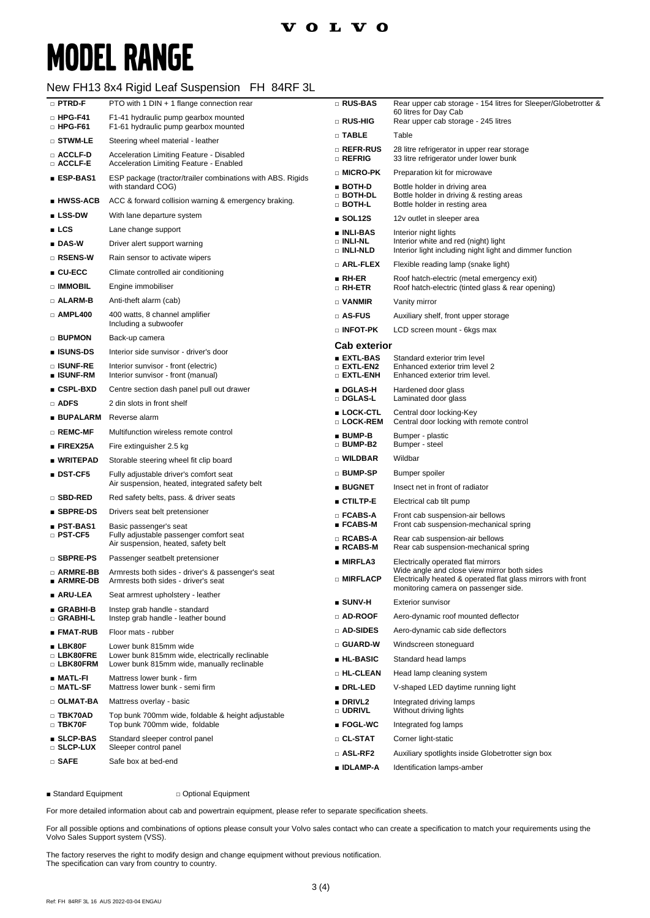### New FH13 8x4 Rigid Leaf Suspension FH 84RF 3L

| $\square$ PTRD-F                 | PTO with 1 DIN + 1 flange connection rear                                                    | □ RUS-BAS                                                              | Rear upper cab storage - 154 litres for Sleeper/Globetrotter &<br>60 litres for Day Cab                     |  |
|----------------------------------|----------------------------------------------------------------------------------------------|------------------------------------------------------------------------|-------------------------------------------------------------------------------------------------------------|--|
| $\Box$ HPG-F41<br>$\Box$ HPG-F61 | F1-41 hydraulic pump gearbox mounted<br>F1-61 hydraulic pump gearbox mounted                 | □ RUS-HIG                                                              | Rear upper cab storage - 245 litres                                                                         |  |
| $\square$ stwm-le                | Steering wheel material - leather                                                            | $\Box$ TABLE                                                           | Table                                                                                                       |  |
| □ ACCLF-D<br>□ ACCLF-E           | Acceleration Limiting Feature - Disabled<br>Acceleration Limiting Feature - Enabled          | □ REFR-RUS<br>□ REFRIG                                                 | 28 litre refrigerator in upper rear storage<br>33 litre refrigerator under lower bunk                       |  |
| ■ ESP-BAS1                       | ESP package (tractor/trailer combinations with ABS. Rigids                                   | □ MICRO-PK                                                             | Preparation kit for microwave                                                                               |  |
| ∎ HWSS-ACB                       | with standard COG)<br>ACC & forward collision warning & emergency braking.                   | ∎ BOTH-D<br>$\Box$ both-dl                                             | Bottle holder in driving area<br>Bottle holder in driving & resting areas                                   |  |
| $\blacksquare$ LSS-DW            | With lane departure system                                                                   | $□$ Both-L                                                             | Bottle holder in resting area                                                                               |  |
| LCS                              | Lane change support                                                                          | $\blacksquare$ SOL12S                                                  | 12v outlet in sleeper area                                                                                  |  |
| $\blacksquare$ DAS-W             | Driver alert support warning                                                                 | ∎ INLI-BAS<br>$\Box$ INLI-NL                                           | Interior night lights<br>Interior white and red (night) light                                               |  |
| $\square$ RSENS-W                | Rain sensor to activate wipers                                                               | Interior light including night light and dimmer function<br>□ INLI-NLD |                                                                                                             |  |
| $\blacksquare$ CU-ECC            | Climate controlled air conditioning                                                          | □ ARL-FLEX                                                             | Flexible reading lamp (snake light)                                                                         |  |
| □ IMMOBIL                        | Engine immobiliser                                                                           | ∎ RH-ER<br>□ RH-ETR                                                    | Roof hatch-electric (metal emergency exit)<br>Roof hatch-electric (tinted glass & rear opening)             |  |
| □ ALARM-B                        | Anti-theft alarm (cab)                                                                       | □ VANMIR                                                               | Vanity mirror                                                                                               |  |
| $\Box$ AMPL400                   | 400 watts, 8 channel amplifier                                                               | □ AS-FUS                                                               | Auxiliary shelf, front upper storage                                                                        |  |
|                                  | Including a subwoofer                                                                        | □ INFOT-PK                                                             | LCD screen mount - 6kgs max                                                                                 |  |
| □ BUPMON                         | Back-up camera                                                                               |                                                                        |                                                                                                             |  |
| ∎ ISUNS-DS                       | Interior side sunvisor - driver's door                                                       | <b>Cab exterior</b><br>■ EXTL-BAS                                      | Standard exterior trim level                                                                                |  |
| □ ISUNF-RE<br>■ ISUNF-RM         | Interior sunvisor - front (electric)<br>Interior sunvisor - front (manual)                   | $\square$ extl-en2<br>$\square$ extl-enh                               | Enhanced exterior trim level 2<br>Enhanced exterior trim level.                                             |  |
| ∎ CSPL-BXD                       | Centre section dash panel pull out drawer                                                    | ∎ DGLAS-H                                                              | Hardened door glass                                                                                         |  |
| <b>D</b> ADFS                    | 2 din slots in front shelf                                                                   | □ DGLAS-L                                                              | Laminated door glass                                                                                        |  |
| <b>BUPALARM</b>                  | Reverse alarm                                                                                | ■ LOCK-CTL<br>□ LOCK-REM                                               | Central door locking-Key<br>Central door locking with remote control                                        |  |
| □ REMC-MF                        | Multifunction wireless remote control                                                        | $BUMP-B$                                                               | Bumper - plastic                                                                                            |  |
| $\blacksquare$ FIREX25A          | Fire extinguisher 2.5 kg                                                                     | □ BUMP-B2                                                              | Bumper - steel                                                                                              |  |
| ∎ WRITEPAD                       | Storable steering wheel fit clip board                                                       | <b>D</b> WILDBAR                                                       | Wildbar                                                                                                     |  |
| $\blacksquare$ DST-CF5           | Fully adjustable driver's comfort seat<br>Air suspension, heated, integrated safety belt     | □ BUMP-SP                                                              | Bumper spoiler                                                                                              |  |
| □ SBD-RED                        | Red safety belts, pass. & driver seats                                                       | $\blacksquare$ BUGNET                                                  | Insect net in front of radiator                                                                             |  |
| ■ SBPRE-DS                       | Drivers seat belt pretensioner                                                               | ∎ CTILTP-E                                                             | Electrical cab tilt pump                                                                                    |  |
| ∎ PST-BAS1                       | Basic passenger's seat                                                                       | $\square$ FCABS-A<br>$\blacksquare$ FCABS-M                            | Front cab suspension-air bellows<br>Front cab suspension-mechanical spring                                  |  |
| □ PST-CF5                        | Fully adjustable passenger comfort seat<br>Air suspension, heated, safety belt               | □ RCABS-A<br>$\blacksquare$ RCABS-M                                    | Rear cab suspension-air bellows<br>Rear cab suspension-mechanical spring                                    |  |
| □ SBPRE-PS                       | Passenger seatbelt pretensioner                                                              | $\blacksquare$ MIRFLA3                                                 | Electrically operated flat mirrors                                                                          |  |
| □ ARMRE-BB<br>∎ ARMRE-DB         | Armrests both sides - driver's & passenger's seat<br>Armrests both sides - driver's seat     | □ MIRFLACP                                                             | Wide angle and close view mirror both sides<br>Electrically heated & operated flat glass mirrors with front |  |
| ∎ ARU-LEA                        | Seat armrest upholstery - leather                                                            |                                                                        | monitoring camera on passenger side.                                                                        |  |
| ■ GRABHI-B<br>□ GRABHI-L         | Instep grab handle - standard<br>Instep grab handle - leather bound                          | $\blacksquare$ SUNV-H<br>$\square$ AD-ROOF                             | <b>Exterior sunvisor</b><br>Aero-dynamic roof mounted deflector                                             |  |
| ∎ FMAT-RUB                       | Floor mats - rubber                                                                          | $\sqcap$ ad-sides.                                                     | Aero-dynamic cab side deflectors                                                                            |  |
| $\blacksquare$ LBK80F            | Lower bunk 815mm wide                                                                        | $\square$ GUARD-W                                                      | Windscreen stoneguard                                                                                       |  |
| □ LBK80FRE<br>□ LBK80FRM         | Lower bunk 815mm wide, electrically reclinable<br>Lower bunk 815mm wide, manually reclinable | ■ HL-BASIC                                                             | Standard head lamps                                                                                         |  |
| $MATL-FI$                        | Mattress lower bunk - firm                                                                   | □ HL-CLEAN                                                             | Head lamp cleaning system                                                                                   |  |
| □ MATL-SF                        | Mattress lower bunk - semi firm                                                              | <b>DRL-LED</b>                                                         | V-shaped LED daytime running light                                                                          |  |
| □ OLMAT-BA                       | Mattress overlay - basic                                                                     | $\blacksquare$ DRIVL2<br>□ UDRIVL                                      | Integrated driving lamps<br>Without driving lights                                                          |  |
| □ TBK70AD<br>$\Box$ TBK70F       | Top bunk 700mm wide, foldable & height adjustable<br>Top bunk 700mm wide, foldable           | $\blacksquare$ FOGL-WC                                                 | Integrated fog lamps                                                                                        |  |
| ■ SLCP-BAS                       | Standard sleeper control panel                                                               | □ CL-STAT                                                              | Corner light-static                                                                                         |  |
| $\square$ SLCP-LUX               | Sleeper control panel                                                                        | □ ASL-RF2                                                              | Auxiliary spotlights inside Globetrotter sign box                                                           |  |
| $\square$ SAFE                   | Safe box at bed-end                                                                          | ■ IDLAMP-A                                                             | Identification lamps-amber                                                                                  |  |

■ Standard Equipment □ Optional Equipment

For more detailed information about cab and powertrain equipment, please refer to separate specification sheets.

For all possible options and combinations of options please consult your Volvo sales contact who can create a specification to match your requirements using the Volvo Sales Support system (VSS).

The factory reserves the right to modify design and change equipment without previous notification. The specification can vary from country to country.